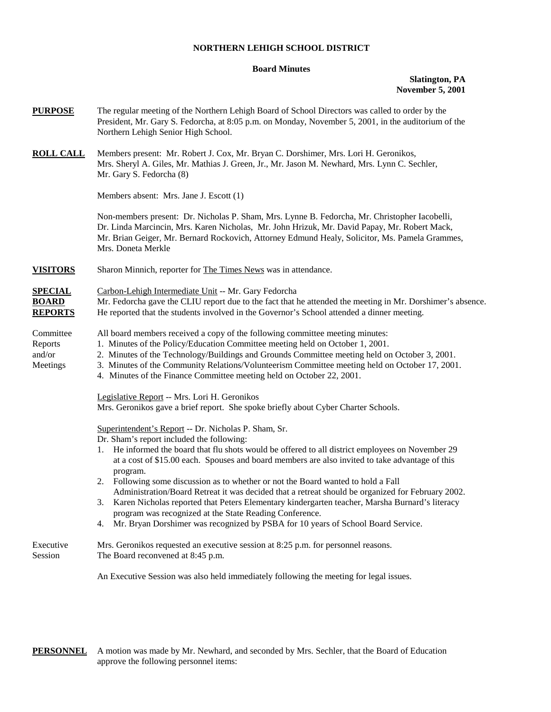#### **NORTHERN LEHIGH SCHOOL DISTRICT**

#### **Board Minutes**

## **Slatington, PA November 5, 2001**

| <b>PURPOSE</b>                                   | The regular meeting of the Northern Lehigh Board of School Directors was called to order by the<br>President, Mr. Gary S. Fedorcha, at 8:05 p.m. on Monday, November 5, 2001, in the auditorium of the<br>Northern Lehigh Senior High School.                                                                                                                                                                                                                                                                                                                                                                                                                                                                                                                             |  |  |  |
|--------------------------------------------------|---------------------------------------------------------------------------------------------------------------------------------------------------------------------------------------------------------------------------------------------------------------------------------------------------------------------------------------------------------------------------------------------------------------------------------------------------------------------------------------------------------------------------------------------------------------------------------------------------------------------------------------------------------------------------------------------------------------------------------------------------------------------------|--|--|--|
| <b>ROLL CALL</b>                                 | Members present: Mr. Robert J. Cox, Mr. Bryan C. Dorshimer, Mrs. Lori H. Geronikos,<br>Mrs. Sheryl A. Giles, Mr. Mathias J. Green, Jr., Mr. Jason M. Newhard, Mrs. Lynn C. Sechler,<br>Mr. Gary S. Fedorcha (8)                                                                                                                                                                                                                                                                                                                                                                                                                                                                                                                                                           |  |  |  |
|                                                  | Members absent: Mrs. Jane J. Escott (1)                                                                                                                                                                                                                                                                                                                                                                                                                                                                                                                                                                                                                                                                                                                                   |  |  |  |
|                                                  | Non-members present: Dr. Nicholas P. Sham, Mrs. Lynne B. Fedorcha, Mr. Christopher Iacobelli,<br>Dr. Linda Marcincin, Mrs. Karen Nicholas, Mr. John Hrizuk, Mr. David Papay, Mr. Robert Mack,<br>Mr. Brian Geiger, Mr. Bernard Rockovich, Attorney Edmund Healy, Solicitor, Ms. Pamela Grammes,<br>Mrs. Doneta Merkle                                                                                                                                                                                                                                                                                                                                                                                                                                                     |  |  |  |
| <b>VISITORS</b>                                  | Sharon Minnich, reporter for The Times News was in attendance.                                                                                                                                                                                                                                                                                                                                                                                                                                                                                                                                                                                                                                                                                                            |  |  |  |
| <b>SPECIAL</b><br><b>BOARD</b><br><b>REPORTS</b> | Carbon-Lehigh Intermediate Unit -- Mr. Gary Fedorcha<br>Mr. Fedorcha gave the CLIU report due to the fact that he attended the meeting in Mr. Dorshimer's absence.<br>He reported that the students involved in the Governor's School attended a dinner meeting.                                                                                                                                                                                                                                                                                                                                                                                                                                                                                                          |  |  |  |
| Committee<br>Reports<br>and/or<br>Meetings       | All board members received a copy of the following committee meeting minutes:<br>1. Minutes of the Policy/Education Committee meeting held on October 1, 2001.<br>2. Minutes of the Technology/Buildings and Grounds Committee meeting held on October 3, 2001.<br>3. Minutes of the Community Relations/Volunteerism Committee meeting held on October 17, 2001.<br>4. Minutes of the Finance Committee meeting held on October 22, 2001.                                                                                                                                                                                                                                                                                                                                |  |  |  |
|                                                  | Legislative Report -- Mrs. Lori H. Geronikos<br>Mrs. Geronikos gave a brief report. She spoke briefly about Cyber Charter Schools.                                                                                                                                                                                                                                                                                                                                                                                                                                                                                                                                                                                                                                        |  |  |  |
|                                                  | Superintendent's Report -- Dr. Nicholas P. Sham, Sr.<br>Dr. Sham's report included the following:<br>1. He informed the board that flu shots would be offered to all district employees on November 29<br>at a cost of \$15.00 each. Spouses and board members are also invited to take advantage of this<br>program.<br>2. Following some discussion as to whether or not the Board wanted to hold a Fall<br>Administration/Board Retreat it was decided that a retreat should be organized for February 2002.<br>3. Karen Nicholas reported that Peters Elementary kindergarten teacher, Marsha Burnard's literacy<br>program was recognized at the State Reading Conference.<br>Mr. Bryan Dorshimer was recognized by PSBA for 10 years of School Board Service.<br>4. |  |  |  |
| Executive<br>Session                             | Mrs. Geronikos requested an executive session at 8:25 p.m. for personnel reasons.<br>The Board reconvened at 8:45 p.m.                                                                                                                                                                                                                                                                                                                                                                                                                                                                                                                                                                                                                                                    |  |  |  |
|                                                  | An Executive Session was also held immediately following the meeting for legal issues.                                                                                                                                                                                                                                                                                                                                                                                                                                                                                                                                                                                                                                                                                    |  |  |  |

**PERSONNEL** A motion was made by Mr. Newhard, and seconded by Mrs. Sechler, that the Board of Education approve the following personnel items: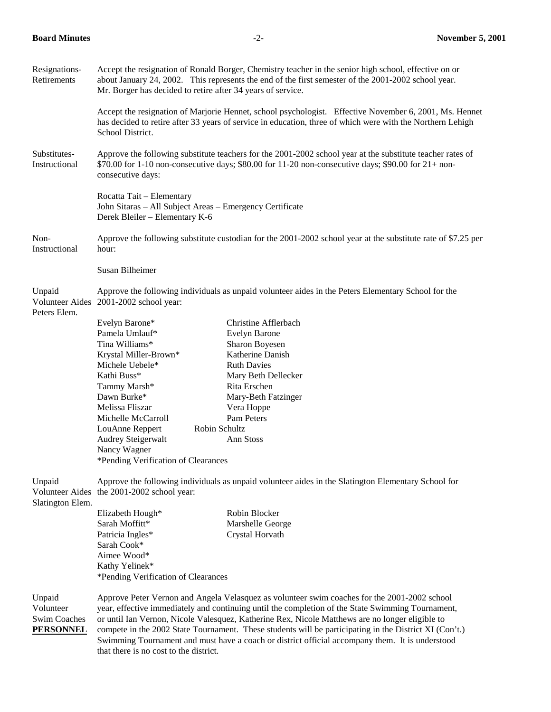| Resignations-<br>Retirements                                   | Accept the resignation of Ronald Borger, Chemistry teacher in the senior high school, effective on or<br>about January 24, 2002. This represents the end of the first semester of the 2001-2002 school year.<br>Mr. Borger has decided to retire after 34 years of service.                                                                                                                                                                                                                                       |                                                                                                     |  |  |  |
|----------------------------------------------------------------|-------------------------------------------------------------------------------------------------------------------------------------------------------------------------------------------------------------------------------------------------------------------------------------------------------------------------------------------------------------------------------------------------------------------------------------------------------------------------------------------------------------------|-----------------------------------------------------------------------------------------------------|--|--|--|
|                                                                | Accept the resignation of Marjorie Hennet, school psychologist. Effective November 6, 2001, Ms. Hennet<br>has decided to retire after 33 years of service in education, three of which were with the Northern Lehigh<br>School District.                                                                                                                                                                                                                                                                          |                                                                                                     |  |  |  |
| Substitutes-<br>Instructional                                  | Approve the following substitute teachers for the 2001-2002 school year at the substitute teacher rates of<br>$$70.00$ for 1-10 non-consecutive days; \$80.00 for 11-20 non-consecutive days; \$90.00 for 21+ non-<br>consecutive days:                                                                                                                                                                                                                                                                           |                                                                                                     |  |  |  |
|                                                                | Rocatta Tait - Elementary<br>John Sitaras - All Subject Areas - Emergency Certificate<br>Derek Bleiler - Elementary K-6                                                                                                                                                                                                                                                                                                                                                                                           |                                                                                                     |  |  |  |
| Non-<br>Instructional                                          | Approve the following substitute custodian for the 2001-2002 school year at the substitute rate of \$7.25 per                                                                                                                                                                                                                                                                                                                                                                                                     |                                                                                                     |  |  |  |
|                                                                | Susan Bilheimer                                                                                                                                                                                                                                                                                                                                                                                                                                                                                                   |                                                                                                     |  |  |  |
| Unpaid<br>Volunteer Aides<br>Peters Elem.                      | 2001-2002 school year:                                                                                                                                                                                                                                                                                                                                                                                                                                                                                            | Approve the following individuals as unpaid volunteer aides in the Peters Elementary School for the |  |  |  |
|                                                                | Evelyn Barone*                                                                                                                                                                                                                                                                                                                                                                                                                                                                                                    | Christine Afflerbach                                                                                |  |  |  |
|                                                                | Pamela Umlauf*                                                                                                                                                                                                                                                                                                                                                                                                                                                                                                    | <b>Evelyn Barone</b>                                                                                |  |  |  |
|                                                                | Tina Williams*                                                                                                                                                                                                                                                                                                                                                                                                                                                                                                    | Sharon Boyesen                                                                                      |  |  |  |
|                                                                | Krystal Miller-Brown*                                                                                                                                                                                                                                                                                                                                                                                                                                                                                             | Katherine Danish                                                                                    |  |  |  |
|                                                                | Michele Uebele*                                                                                                                                                                                                                                                                                                                                                                                                                                                                                                   | <b>Ruth Davies</b>                                                                                  |  |  |  |
|                                                                | Kathi Buss*                                                                                                                                                                                                                                                                                                                                                                                                                                                                                                       | Mary Beth Dellecker                                                                                 |  |  |  |
|                                                                | Tammy Marsh*                                                                                                                                                                                                                                                                                                                                                                                                                                                                                                      | Rita Erschen                                                                                        |  |  |  |
|                                                                | Dawn Burke*                                                                                                                                                                                                                                                                                                                                                                                                                                                                                                       | Mary-Beth Fatzinger                                                                                 |  |  |  |
|                                                                | Melissa Fliszar                                                                                                                                                                                                                                                                                                                                                                                                                                                                                                   | Vera Hoppe                                                                                          |  |  |  |
|                                                                | Michelle McCarroll<br>Robin Schultz                                                                                                                                                                                                                                                                                                                                                                                                                                                                               | Pam Peters                                                                                          |  |  |  |
|                                                                | LouAnne Reppert<br><b>Audrey Steigerwalt</b>                                                                                                                                                                                                                                                                                                                                                                                                                                                                      | Ann Stoss                                                                                           |  |  |  |
|                                                                | Nancy Wagner                                                                                                                                                                                                                                                                                                                                                                                                                                                                                                      |                                                                                                     |  |  |  |
|                                                                | *Pending Verification of Clearances                                                                                                                                                                                                                                                                                                                                                                                                                                                                               |                                                                                                     |  |  |  |
|                                                                |                                                                                                                                                                                                                                                                                                                                                                                                                                                                                                                   |                                                                                                     |  |  |  |
| Unpaid<br>Slatington Elem.                                     | Approve the following individuals as unpaid volunteer aides in the Slatington Elementary School for<br>Volunteer Aides the 2001-2002 school year:                                                                                                                                                                                                                                                                                                                                                                 |                                                                                                     |  |  |  |
|                                                                | Elizabeth Hough*                                                                                                                                                                                                                                                                                                                                                                                                                                                                                                  | Robin Blocker                                                                                       |  |  |  |
|                                                                | Sarah Moffitt*                                                                                                                                                                                                                                                                                                                                                                                                                                                                                                    | Marshelle George                                                                                    |  |  |  |
|                                                                | Patricia Ingles*                                                                                                                                                                                                                                                                                                                                                                                                                                                                                                  | Crystal Horvath                                                                                     |  |  |  |
|                                                                | Sarah Cook*                                                                                                                                                                                                                                                                                                                                                                                                                                                                                                       |                                                                                                     |  |  |  |
|                                                                | Aimee Wood*                                                                                                                                                                                                                                                                                                                                                                                                                                                                                                       |                                                                                                     |  |  |  |
|                                                                | Kathy Yelinek*                                                                                                                                                                                                                                                                                                                                                                                                                                                                                                    |                                                                                                     |  |  |  |
|                                                                | *Pending Verification of Clearances                                                                                                                                                                                                                                                                                                                                                                                                                                                                               |                                                                                                     |  |  |  |
| Unpaid<br>Volunteer<br><b>Swim Coaches</b><br><b>PERSONNEL</b> | Approve Peter Vernon and Angela Velasquez as volunteer swim coaches for the 2001-2002 school<br>year, effective immediately and continuing until the completion of the State Swimming Tournament,<br>or until Ian Vernon, Nicole Valesquez, Katherine Rex, Nicole Matthews are no longer eligible to<br>compete in the 2002 State Tournament. These students will be participating in the District XI (Con't.)<br>Swimming Tournament and must have a coach or district official accompany them. It is understood |                                                                                                     |  |  |  |
|                                                                | that there is no cost to the district.                                                                                                                                                                                                                                                                                                                                                                                                                                                                            |                                                                                                     |  |  |  |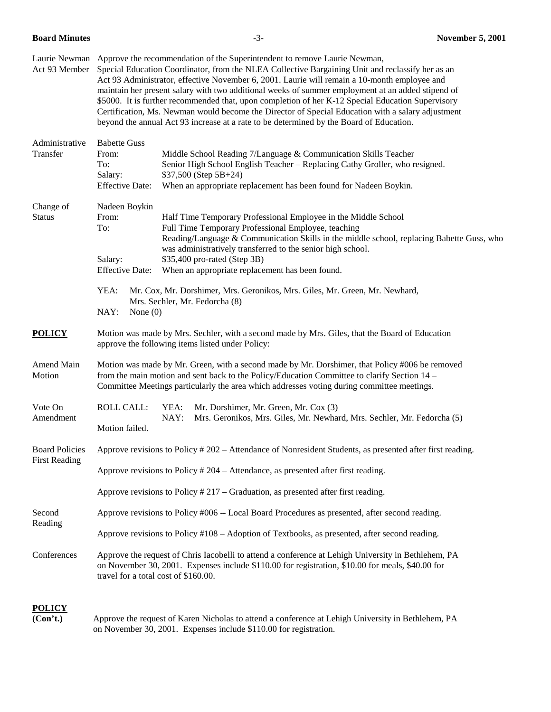| Act 93 Member              | Laurie Newman Approve the recommendation of the Superintendent to remove Laurie Newman,<br>Special Education Coordinator, from the NLEA Collective Bargaining Unit and reclassify her as an<br>Act 93 Administrator, effective November 6, 2001. Laurie will remain a 10-month employee and<br>maintain her present salary with two additional weeks of summer employment at an added stipend of<br>\$5000. It is further recommended that, upon completion of her K-12 Special Education Supervisory<br>Certification, Ms. Newman would become the Director of Special Education with a salary adjustment<br>beyond the annual Act 93 increase at a rate to be determined by the Board of Education. |  |  |  |  |
|----------------------------|-------------------------------------------------------------------------------------------------------------------------------------------------------------------------------------------------------------------------------------------------------------------------------------------------------------------------------------------------------------------------------------------------------------------------------------------------------------------------------------------------------------------------------------------------------------------------------------------------------------------------------------------------------------------------------------------------------|--|--|--|--|
| Administrative<br>Transfer | <b>Babette Guss</b><br>From:<br>Middle School Reading 7/Language & Communication Skills Teacher<br>To:<br>Senior High School English Teacher – Replacing Cathy Groller, who resigned.<br>\$37,500 (Step 5B+24)<br>Salary:<br><b>Effective Date:</b><br>When an appropriate replacement has been found for Nadeen Boykin.                                                                                                                                                                                                                                                                                                                                                                              |  |  |  |  |
| Change of<br><b>Status</b> | Nadeen Boykin<br>Half Time Temporary Professional Employee in the Middle School<br>From:<br>To:<br>Full Time Temporary Professional Employee, teaching<br>Reading/Language & Communication Skills in the middle school, replacing Babette Guss, who<br>was administratively transferred to the senior high school.<br>\$35,400 pro-rated (Step 3B)<br>Salary:<br>When an appropriate replacement has been found.<br><b>Effective Date:</b><br>YEA:<br>Mr. Cox, Mr. Dorshimer, Mrs. Geronikos, Mrs. Giles, Mr. Green, Mr. Newhard,<br>Mrs. Sechler, Mr. Fedorcha (8)<br>NAY:<br>None $(0)$                                                                                                             |  |  |  |  |
| <b>POLICY</b>              | Motion was made by Mrs. Sechler, with a second made by Mrs. Giles, that the Board of Education<br>approve the following items listed under Policy:                                                                                                                                                                                                                                                                                                                                                                                                                                                                                                                                                    |  |  |  |  |
| Amend Main<br>Motion       | Motion was made by Mr. Green, with a second made by Mr. Dorshimer, that Policy #006 be removed<br>from the main motion and sent back to the Policy/Education Committee to clarify Section 14 –<br>Committee Meetings particularly the area which addresses voting during committee meetings.                                                                                                                                                                                                                                                                                                                                                                                                          |  |  |  |  |
| Vote On<br>Amendment       | <b>ROLL CALL:</b><br>YEA:<br>Mr. Dorshimer, Mr. Green, Mr. Cox (3)<br>NAY:<br>Mrs. Geronikos, Mrs. Giles, Mr. Newhard, Mrs. Sechler, Mr. Fedorcha (5)<br>Motion failed.                                                                                                                                                                                                                                                                                                                                                                                                                                                                                                                               |  |  |  |  |
| <b>First Reading</b>       | Board Policies Approve revisions to Policy # 202 - Attendance of Nonresident Students, as presented after first reading.<br>Approve revisions to Policy # 204 - Attendance, as presented after first reading.<br>Approve revisions to Policy $#217 -$ Graduation, as presented after first reading.                                                                                                                                                                                                                                                                                                                                                                                                   |  |  |  |  |
| Second<br>Reading          | Approve revisions to Policy #006 -- Local Board Procedures as presented, after second reading.<br>Approve revisions to Policy #108 – Adoption of Textbooks, as presented, after second reading.                                                                                                                                                                                                                                                                                                                                                                                                                                                                                                       |  |  |  |  |
| Conferences                | Approve the request of Chris Iacobelli to attend a conference at Lehigh University in Bethlehem, PA<br>on November 30, 2001. Expenses include \$110.00 for registration, \$10.00 for meals, \$40.00 for<br>travel for a total cost of \$160.00.                                                                                                                                                                                                                                                                                                                                                                                                                                                       |  |  |  |  |

# **POLICY**

**(Con't.)** Approve the request of Karen Nicholas to attend a conference at Lehigh University in Bethlehem, PA on November 30, 2001. Expenses include \$110.00 for registration.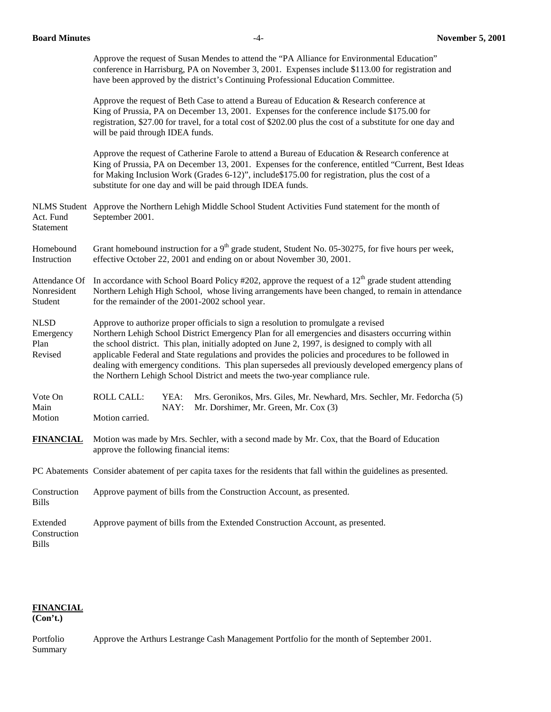| Approve the request of Susan Mendes to attend the "PA Alliance for Environmental Education"      |  |  |  |  |
|--------------------------------------------------------------------------------------------------|--|--|--|--|
| conference in Harrisburg, PA on November 3, 2001. Expenses include \$113.00 for registration and |  |  |  |  |
| have been approved by the district's Continuing Professional Education Committee.                |  |  |  |  |

 Approve the request of Beth Case to attend a Bureau of Education & Research conference at King of Prussia, PA on December 13, 2001. Expenses for the conference include \$175.00 for registration, \$27.00 for travel, for a total cost of \$202.00 plus the cost of a substitute for one day and will be paid through IDEA funds.

Approve the request of Catherine Farole to attend a Bureau of Education & Research conference at King of Prussia, PA on December 13, 2001. Expenses for the conference, entitled "Current, Best Ideas for Making Inclusion Work (Grades 6-12)", include\$175.00 for registration, plus the cost of a substitute for one day and will be paid through IDEA funds.

NLMS Student Approve the Northern Lehigh Middle School Student Activities Fund statement for the month of Act. Fund September 2001. Statement

Homebound Grant homebound instruction for a  $9<sup>th</sup>$  grade student, Student No. 05-30275, for five hours per week, Instruction effective October 22, 2001 and ending on or about November 30, 2001.

Attendance Of In accordance with School Board Policy #202, approve the request of a  $12<sup>th</sup>$  grade student attending Nonresident Northern Lehigh High School, whose living arrangements have been changed, to remain in attendance Student for the remainder of the 2001-2002 school year.

NLSD Approve to authorize proper officials to sign a resolution to promulgate a revised Emergency Northern Lehigh School District Emergency Plan for all emergencies and disasters occurring within Plan the school district. This plan, initially adopted on June 2, 1997, is designed to comply with all Revised applicable Federal and State regulations and provides the policies and procedures to be followed in dealing with emergency conditions. This plan supersedes all previously developed emergency plans of the Northern Lehigh School District and meets the two-year compliance rule.

**FINANCIAL** Motion was made by Mrs. Sechler, with a second made by Mr. Cox, that the Board of Education approve the following financial items:

PC Abatements Consider abatement of per capita taxes for the residents that fall within the guidelines as presented.

|              | Construction Approve payment of bills from the Construction Account, as presented. |
|--------------|------------------------------------------------------------------------------------|
| <b>Bills</b> |                                                                                    |

Extended Approve payment of bills from the Extended Construction Account, as presented. Construction Bills

## **FINANCIAL**

**(Con't.)** 

Portfolio Approve the Arthurs Lestrange Cash Management Portfolio for the month of September 2001. Summary

Vote On ROLL CALL: YEA: Mrs. Geronikos, Mrs. Giles, Mr. Newhard, Mrs. Sechler, Mr. Fedorcha (5) Main NAY: Mr. Dorshimer, Mr. Green, Mr. Cox (3) Motion Motion carried.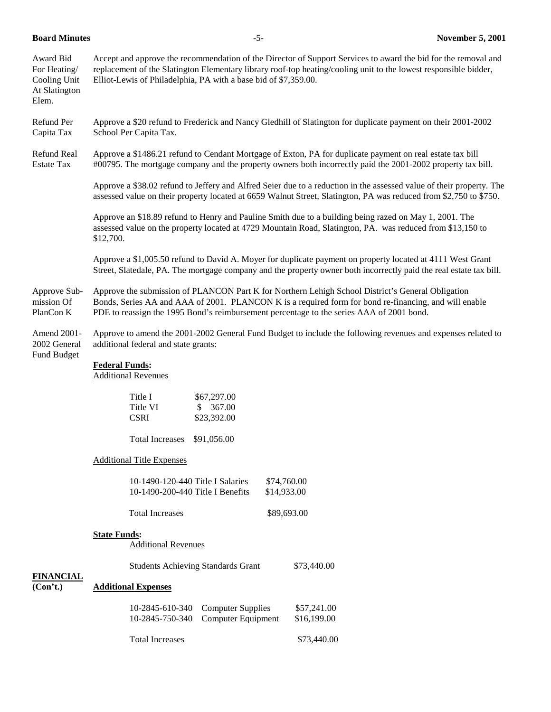| Award Bid<br>For Heating/<br>Cooling Unit<br>At Slatington<br>Elem. | Accept and approve the recommendation of the Director of Support Services to award the bid for the removal and<br>replacement of the Slatington Elementary library roof-top heating/cooling unit to the lowest responsible bidder,<br>Elliot-Lewis of Philadelphia, PA with a base bid of \$7,359.00.  |  |  |  |  |
|---------------------------------------------------------------------|--------------------------------------------------------------------------------------------------------------------------------------------------------------------------------------------------------------------------------------------------------------------------------------------------------|--|--|--|--|
| Refund Per<br>Capita Tax                                            | Approve a \$20 refund to Frederick and Nancy Gledhill of Slatington for duplicate payment on their 2001-2002<br>School Per Capita Tax.                                                                                                                                                                 |  |  |  |  |
| Refund Real<br><b>Estate Tax</b>                                    | Approve a \$1486.21 refund to Cendant Mortgage of Exton, PA for duplicate payment on real estate tax bill<br>#00795. The mortgage company and the property owners both incorrectly paid the 2001-2002 property tax bill.                                                                               |  |  |  |  |
|                                                                     | Approve a \$38.02 refund to Jeffery and Alfred Seier due to a reduction in the assessed value of their property. The<br>assessed value on their property located at 6659 Walnut Street, Slatington, PA was reduced from \$2,750 to \$750.                                                              |  |  |  |  |
|                                                                     | Approve an \$18.89 refund to Henry and Pauline Smith due to a building being razed on May 1, 2001. The<br>assessed value on the property located at 4729 Mountain Road, Slatington, PA. was reduced from \$13,150 to<br>\$12,700.                                                                      |  |  |  |  |
|                                                                     | Approve a \$1,005.50 refund to David A. Moyer for duplicate payment on property located at 4111 West Grant<br>Street, Slatedale, PA. The mortgage company and the property owner both incorrectly paid the real estate tax bill.                                                                       |  |  |  |  |
| Approve Sub-<br>mission Of<br>PlanCon K                             | Approve the submission of PLANCON Part K for Northern Lehigh School District's General Obligation<br>Bonds, Series AA and AAA of 2001. PLANCON K is a required form for bond re-financing, and will enable<br>PDE to reassign the 1995 Bond's reimbursement percentage to the series AAA of 2001 bond. |  |  |  |  |
| Amend 2001-<br>2002 General                                         | Approve to amend the 2001-2002 General Fund Budget to include the following revenues and expenses related to<br>additional federal and state grants:                                                                                                                                                   |  |  |  |  |
| Fund Budget                                                         | <b>Federal Funds:</b><br><b>Additional Revenues</b>                                                                                                                                                                                                                                                    |  |  |  |  |
|                                                                     | Title I<br>\$67,297.00<br>Title VI<br>\$367.00<br><b>CSRI</b><br>\$23,392.00                                                                                                                                                                                                                           |  |  |  |  |
|                                                                     | <b>Total Increases</b><br>\$91,056.00                                                                                                                                                                                                                                                                  |  |  |  |  |
|                                                                     | <b>Additional Title Expenses</b>                                                                                                                                                                                                                                                                       |  |  |  |  |
|                                                                     | 10-1490-120-440 Title I Salaries<br>\$74,760.00<br>10-1490-200-440 Title I Benefits<br>\$14,933.00                                                                                                                                                                                                     |  |  |  |  |
|                                                                     | <b>Total Increases</b><br>\$89,693.00                                                                                                                                                                                                                                                                  |  |  |  |  |
|                                                                     | <b>State Funds:</b><br><b>Additional Revenues</b>                                                                                                                                                                                                                                                      |  |  |  |  |
| <b>FINANCIAL</b>                                                    | <b>Students Achieving Standards Grant</b><br>\$73,440.00                                                                                                                                                                                                                                               |  |  |  |  |
| (Con't.)                                                            | <b>Additional Expenses</b>                                                                                                                                                                                                                                                                             |  |  |  |  |
|                                                                     | <b>Computer Supplies</b><br>10-2845-610-340<br>\$57,241.00<br>10-2845-750-340<br>Computer Equipment<br>\$16,199.00                                                                                                                                                                                     |  |  |  |  |
|                                                                     | <b>Total Increases</b><br>\$73,440.00                                                                                                                                                                                                                                                                  |  |  |  |  |